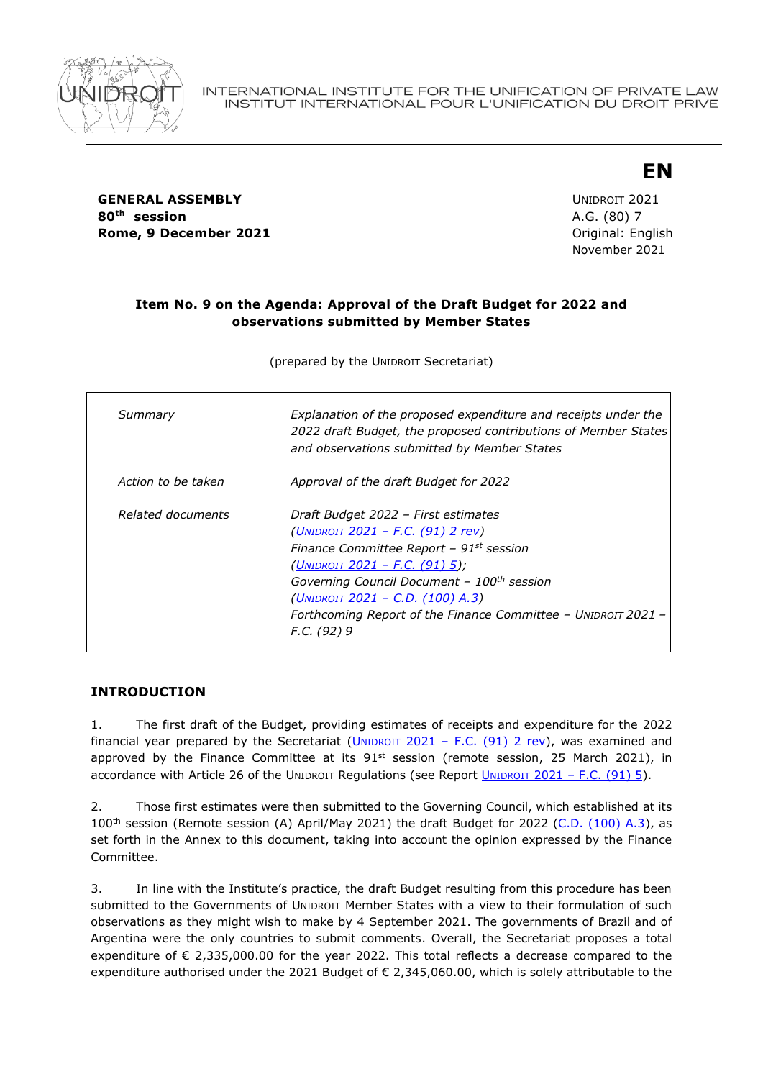

# **EN**

**GENERAL ASSEMBLY CONSUMING A SERVICE 2021 80th session** A.G. (80) 7 **Rome, 9 December 2021 Communicate Communicate Communicate Communicate Communicate Communicate Communicate Communicate Communicate Communicate Communicate Communicate Communicate Communicate Communicate Communicate Commu** 

November 2021

#### **Item No. 9 on the Agenda: Approval of the Draft Budget for 2022 and observations submitted by Member States**

(prepared by the UNIDROIT Secretariat)

| Summary            | Explanation of the proposed expenditure and receipts under the<br>2022 draft Budget, the proposed contributions of Member States<br>and observations submitted by Member States                                                                                                                                                                     |
|--------------------|-----------------------------------------------------------------------------------------------------------------------------------------------------------------------------------------------------------------------------------------------------------------------------------------------------------------------------------------------------|
| Action to be taken | Approval of the draft Budget for 2022                                                                                                                                                                                                                                                                                                               |
| Related documents  | Draft Budget 2022 - First estimates<br><u>(UNIDROIT 2021 – F.C. (91) 2 rev)</u><br>Finance Committee Report - 91st session<br>(UNIDROIT 2021 – F.C. $(91)$ 5);<br>Governing Council Document - 100 <sup>th</sup> session<br><u>(UNIDROIT 2021 – C.D. (100) A.3)</u><br>Forthcoming Report of the Finance Committee - UNIDROIT 2021 -<br>F.C. (92) 9 |

## **INTRODUCTION**

1. The first draft of the Budget, providing estimates of receipts and expenditure for the 2022 financial year prepared by the Secretariat  $(UNIDROIT 2021 - F.C. (91) 2 rev)$  $(UNIDROIT 2021 - F.C. (91) 2 rev)$ , was examined and approved by the Finance Committee at its  $91^{st}$  session (remote session, 25 March 2021), in accordance with Article 26 of the UNIDROIT Regulations (see Report UNIDROIT 2021 - [F.C. \(91\)](https://www.unidroit.org/english/governments/financecommitteedocuments/2021-91session/fc-91-05-e.pdf) 5).

2. Those first estimates were then submitted to the Governing Council, which established at its 100<sup>th</sup> session (Remote session (A) April/May 2021) the draft Budget for 2022 [\(C.D. \(100\) A.3\)](https://www.unidroit.org/english/governments/councildocuments/2021session/cd-100-a-03-e.pdf), as set forth in the Annex to this document, taking into account the opinion expressed by the Finance Committee.

3. In line with the Institute's practice, the draft Budget resulting from this procedure has been submitted to the Governments of UNIDROIT Member States with a view to their formulation of such observations as they might wish to make by 4 September 2021. The governments of Brazil and of Argentina were the only countries to submit comments. Overall, the Secretariat proposes a total expenditure of  $\epsilon$  2,335,000.00 for the year 2022. This total reflects a decrease compared to the expenditure authorised under the 2021 Budget of € 2,345,060.00, which is solely attributable to the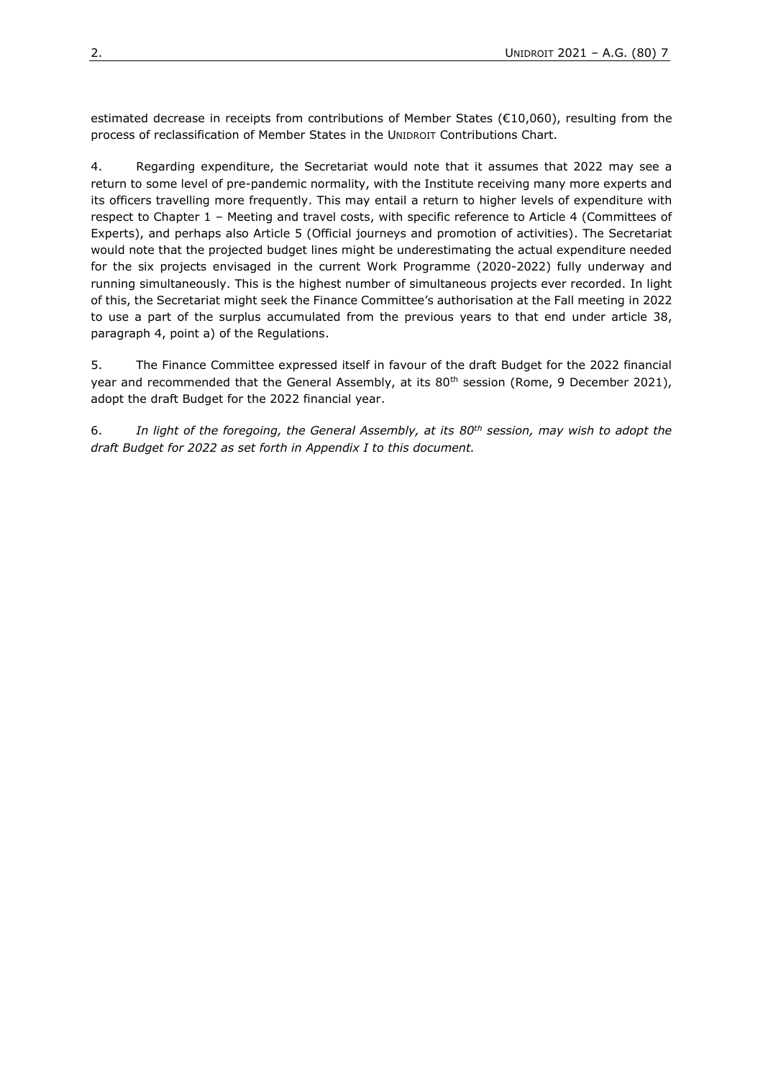estimated decrease in receipts from contributions of Member States (€10,060), resulting from the process of reclassification of Member States in the UNIDROIT Contributions Chart.

4. Regarding expenditure, the Secretariat would note that it assumes that 2022 may see a return to some level of pre-pandemic normality, with the Institute receiving many more experts and its officers travelling more frequently. This may entail a return to higher levels of expenditure with respect to Chapter 1 – Meeting and travel costs, with specific reference to Article 4 (Committees of Experts), and perhaps also Article 5 (Official journeys and promotion of activities). The Secretariat would note that the projected budget lines might be underestimating the actual expenditure needed for the six projects envisaged in the current Work Programme (2020-2022) fully underway and running simultaneously. This is the highest number of simultaneous projects ever recorded. In light of this, the Secretariat might seek the Finance Committee's authorisation at the Fall meeting in 2022 to use a part of the surplus accumulated from the previous years to that end under article 38, paragraph 4, point a) of the Regulations.

5. The Finance Committee expressed itself in favour of the draft Budget for the 2022 financial year and recommended that the General Assembly, at its 80<sup>th</sup> session (Rome, 9 December 2021), adopt the draft Budget for the 2022 financial year.

6. *In light of the foregoing, the General Assembly, at its 80th session, may wish to adopt the draft Budget for 2022 as set forth in Appendix I to this document.*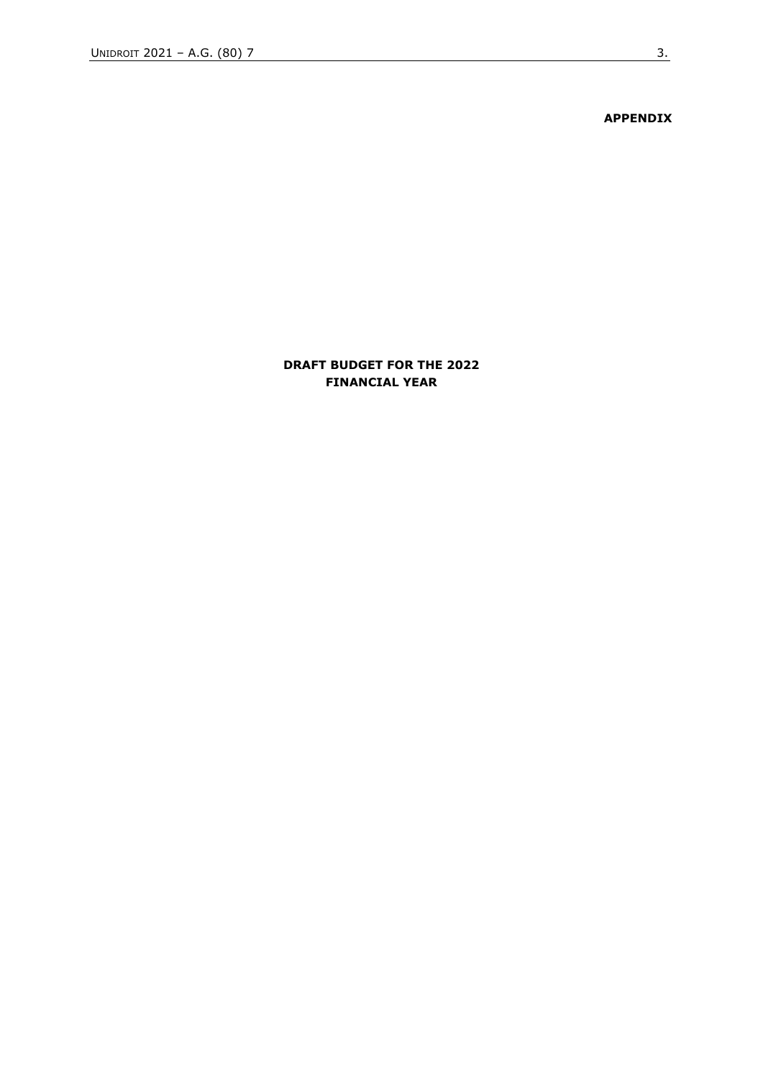**APPENDIX**

#### **DRAFT BUDGET FOR THE 2022 FINANCIAL YEAR**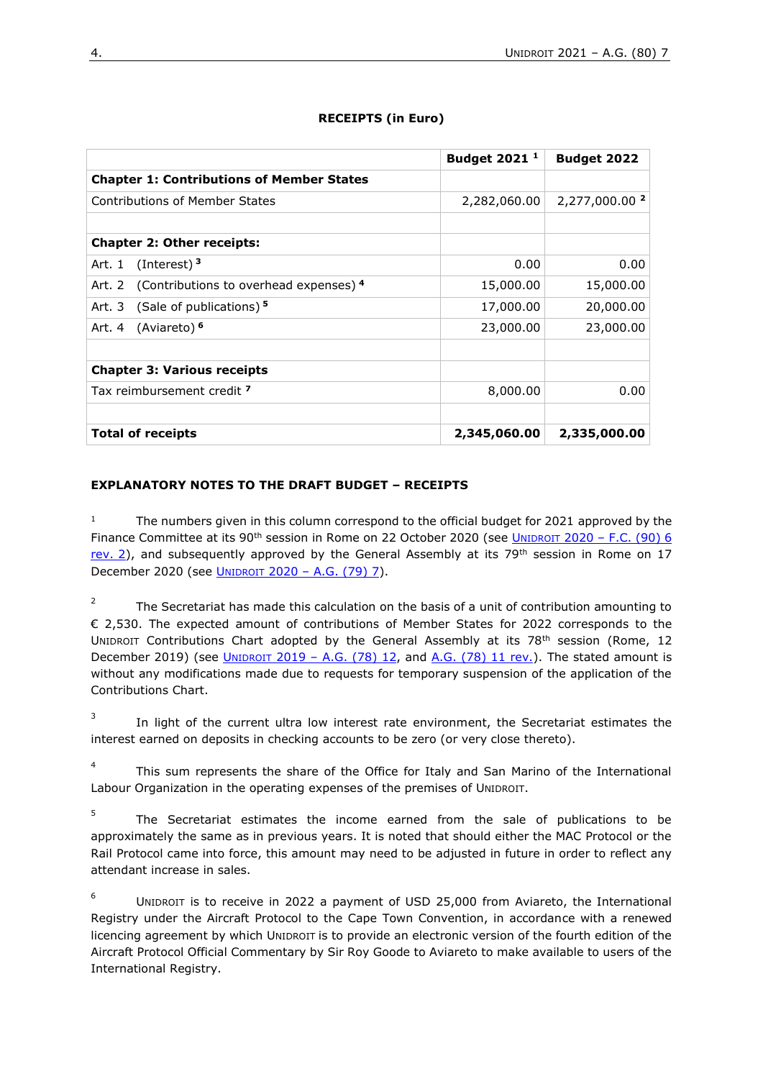|                                                  | <b>Budget 2021<sup>1</sup></b> | Budget 2022               |
|--------------------------------------------------|--------------------------------|---------------------------|
| <b>Chapter 1: Contributions of Member States</b> |                                |                           |
| <b>Contributions of Member States</b>            | 2,282,060.00                   | 2,277,000.00 <sup>2</sup> |
|                                                  |                                |                           |
| <b>Chapter 2: Other receipts:</b>                |                                |                           |
| (Interest) $3$<br>Art. 1                         | 0.00                           | 0.00                      |
| Art. 2 (Contributions to overhead expenses) 4    | 15,000.00                      | 15,000.00                 |
| (Sale of publications) 5<br>Art. 3               | 17,000.00                      | 20,000.00                 |
| (Aviareto) <sup>6</sup><br>Art. 4                | 23,000.00                      | 23,000.00                 |
|                                                  |                                |                           |
| <b>Chapter 3: Various receipts</b>               |                                |                           |
| Tax reimbursement credit 7                       | 8,000.00                       | 0.00                      |
|                                                  |                                |                           |
| <b>Total of receipts</b>                         | 2,345,060.00                   | 2,335,000.00              |

## **RECEIPTS (in Euro)**

#### **EXPLANATORY NOTES TO THE DRAFT BUDGET – RECEIPTS**

<sup>1</sup> The numbers given in this column correspond to the official budget for 2021 approved by the Finance Committee at its 90<sup>th</sup> session in Rome on 22 October 2020 (see UNIDROIT 2020 – F.C. (90) 6 [rev.](https://www.unidroit.org/english/governments/financecommitteedocuments/2020-90session/fc-90-06rev-02-e.pdf) 2), and subsequently approved by the General Assembly at its 79<sup>th</sup> session in Rome on 17 December 2020 (see UNIDROIT 2020 – [A.G. \(79\) 7\)](https://www.unidroit.org/english/governments/assemblydocuments/2020-79session/ag-79-07-e.pdf).

2 The Secretariat has made this calculation on the basis of a unit of contribution amounting to € 2,530. The expected amount of contributions of Member States for 2022 corresponds to the UNIDROIT Contributions Chart adopted by the General Assembly at its 78<sup>th</sup> session (Rome, 12 December 2019) (see UNIDROIT 2019 – A.G.  $(78)$  12, and A.G.  $(78)$  11 rev.). The stated amount is without any modifications made due to requests for temporary suspension of the application of the Contributions Chart.

3 In light of the current ultra low interest rate environment, the Secretariat estimates the interest earned on deposits in checking accounts to be zero (or very close thereto).

4 This sum represents the share of the Office for Italy and San Marino of the International Labour Organization in the operating expenses of the premises of UNIDROIT.

5 The Secretariat estimates the income earned from the sale of publications to be approximately the same as in previous years. It is noted that should either the MAC Protocol or the Rail Protocol came into force, this amount may need to be adjusted in future in order to reflect any attendant increase in sales.

6 UNIDROIT is to receive in 2022 a payment of USD 25,000 from Aviareto, the International Registry under the Aircraft Protocol to the Cape Town Convention, in accordance with a renewed licencing agreement by which UNIDROIT is to provide an electronic version of the fourth edition of the Aircraft Protocol Official Commentary by Sir Roy Goode to Aviareto to make available to users of the International Registry.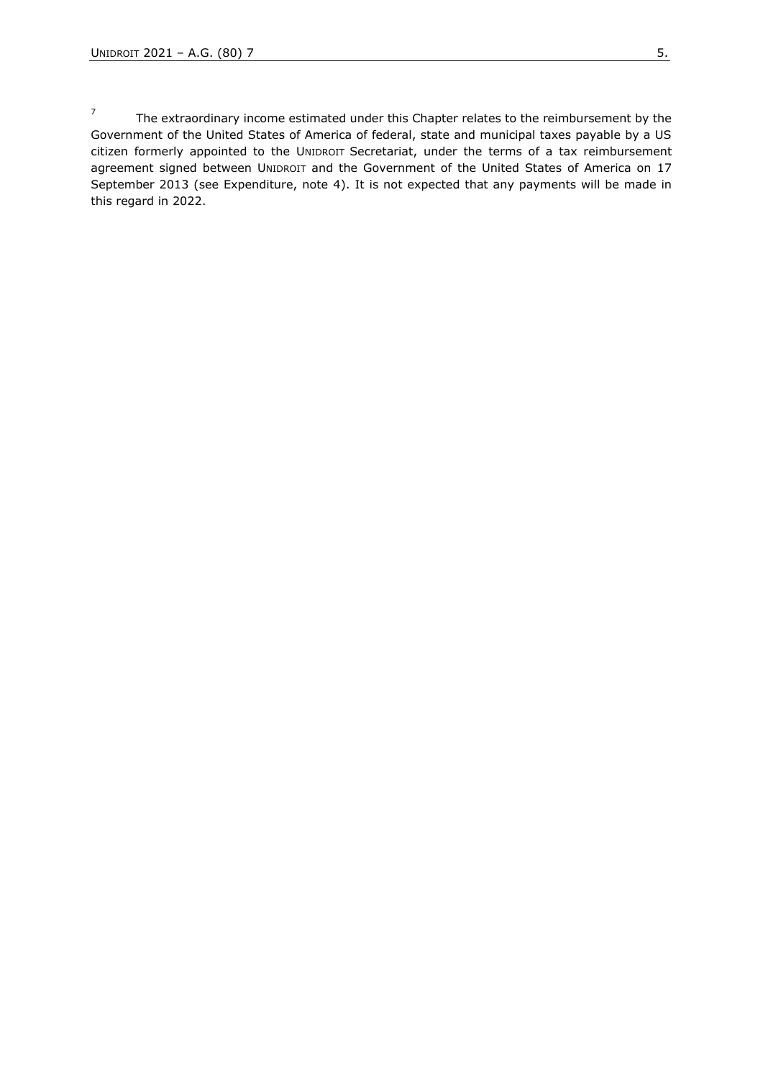7 The extraordinary income estimated under this Chapter relates to the reimbursement by the Government of the United States of America of federal, state and municipal taxes payable by a US citizen formerly appointed to the UNIDROIT Secretariat, under the terms of a tax reimbursement agreement signed between UNIDROIT and the Government of the United States of America on 17 September 2013 (see Expenditure, note 4). It is not expected that any payments will be made in this regard in 2022.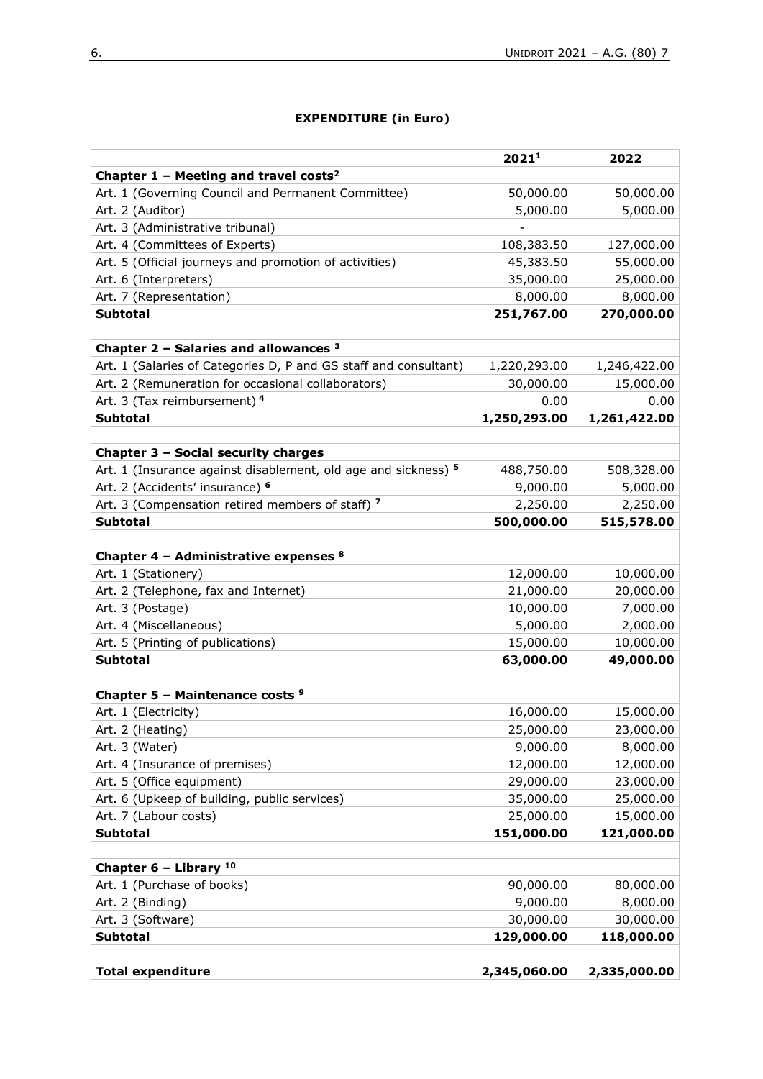## **EXPENDITURE (in Euro)**

|                                                                  | 20211        | 2022         |
|------------------------------------------------------------------|--------------|--------------|
| Chapter 1 - Meeting and travel costs <sup>2</sup>                |              |              |
| Art. 1 (Governing Council and Permanent Committee)               | 50,000.00    | 50,000.00    |
| Art. 2 (Auditor)                                                 | 5,000.00     | 5,000.00     |
| Art. 3 (Administrative tribunal)                                 |              |              |
| Art. 4 (Committees of Experts)                                   | 108,383.50   | 127,000.00   |
| Art. 5 (Official journeys and promotion of activities)           | 45,383.50    | 55,000.00    |
| Art. 6 (Interpreters)                                            | 35,000.00    | 25,000.00    |
| Art. 7 (Representation)                                          | 8,000.00     | 8,000.00     |
| <b>Subtotal</b>                                                  | 251,767.00   | 270,000.00   |
|                                                                  |              |              |
| Chapter $2$ - Salaries and allowances $3$                        |              |              |
| Art. 1 (Salaries of Categories D, P and GS staff and consultant) | 1,220,293.00 | 1,246,422.00 |
| Art. 2 (Remuneration for occasional collaborators)               | 30,000.00    | 15,000.00    |
| Art. 3 (Tax reimbursement) 4                                     | 0.00         | 0.00         |
| <b>Subtotal</b>                                                  | 1,250,293.00 | 1,261,422.00 |
|                                                                  |              |              |
| Chapter 3 - Social security charges                              |              |              |
| Art. 1 (Insurance against disablement, old age and sickness) 5   | 488,750.00   | 508,328.00   |
| Art. 2 (Accidents' insurance) <sup>6</sup>                       | 9,000.00     | 5,000.00     |
| Art. 3 (Compensation retired members of staff) 7                 | 2,250.00     | 2,250.00     |
| <b>Subtotal</b>                                                  | 500,000.00   | 515,578.00   |
|                                                                  |              |              |
| Chapter 4 - Administrative expenses 8                            |              |              |
| Art. 1 (Stationery)                                              | 12,000.00    | 10,000.00    |
| Art. 2 (Telephone, fax and Internet)                             | 21,000.00    | 20,000.00    |
| Art. 3 (Postage)                                                 | 10,000.00    | 7,000.00     |
| Art. 4 (Miscellaneous)                                           | 5,000.00     | 2,000.00     |
| Art. 5 (Printing of publications)                                | 15,000.00    | 10,000.00    |
| <b>Subtotal</b>                                                  | 63,000.00    | 49,000.00    |
|                                                                  |              |              |
| Chapter 5 - Maintenance costs <sup>9</sup>                       |              |              |
| Art. 1 (Electricity)                                             | 16,000.00    | 15,000.00    |
| Art. 2 (Heating)                                                 | 25,000.00    | 23,000.00    |
| Art. 3 (Water)                                                   | 9,000.00     | 8,000.00     |
| Art. 4 (Insurance of premises)                                   | 12,000.00    | 12,000.00    |
| Art. 5 (Office equipment)                                        | 29,000.00    | 23,000.00    |
| Art. 6 (Upkeep of building, public services)                     | 35,000.00    | 25,000.00    |
| Art. 7 (Labour costs)                                            | 25,000.00    | 15,000.00    |
| <b>Subtotal</b>                                                  | 151,000.00   | 121,000.00   |
|                                                                  |              |              |
| Chapter $6$ - Library $10$                                       |              |              |
| Art. 1 (Purchase of books)                                       | 90,000.00    | 80,000.00    |
| Art. 2 (Binding)                                                 | 9,000.00     | 8,000.00     |
| Art. 3 (Software)                                                | 30,000.00    | 30,000.00    |
| <b>Subtotal</b>                                                  | 129,000.00   | 118,000.00   |
|                                                                  |              |              |
| <b>Total expenditure</b>                                         | 2,345,060.00 | 2,335,000.00 |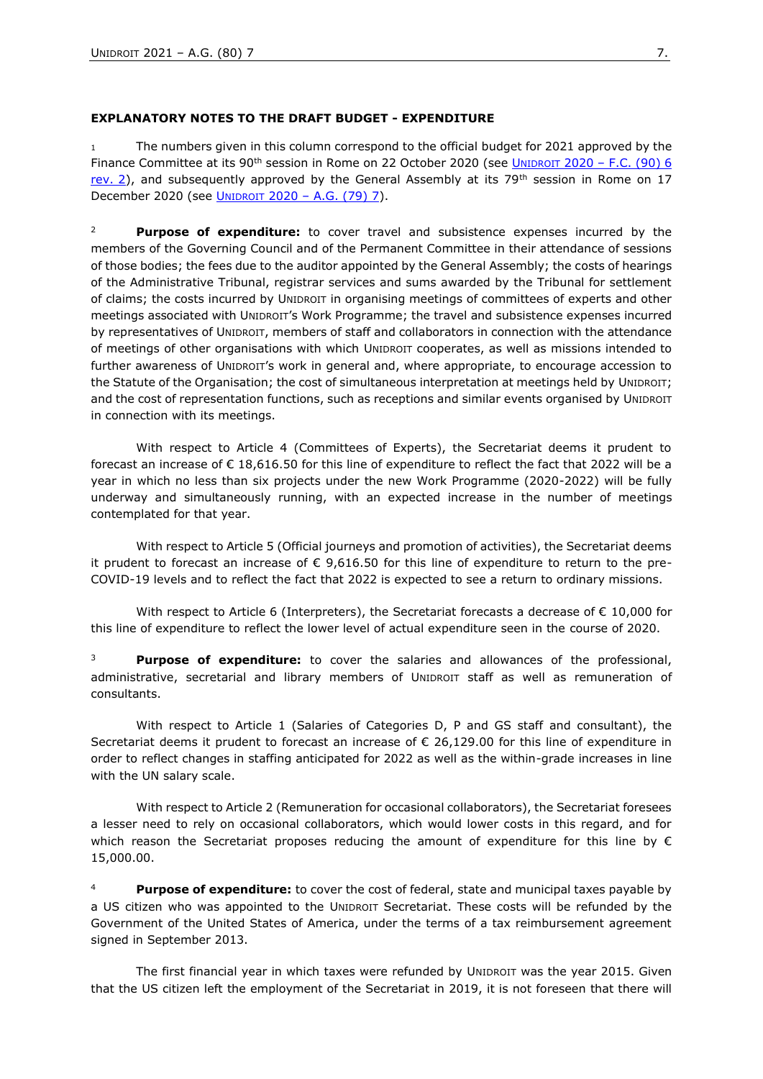#### **EXPLANATORY NOTES TO THE DRAFT BUDGET - EXPENDITURE**

The numbers given in this column correspond to the official budget for 2021 approved by the Finance Committee at its 90<sup>th</sup> session in Rome on 22 October 2020 (see UNIDROIT 2020 – F.C. (90) 6 [rev.](https://www.unidroit.org/english/governments/financecommitteedocuments/2020-90session/fc-90-06rev-02-e.pdf) 2), and subsequently approved by the General Assembly at its 79<sup>th</sup> session in Rome on 17 December 2020 (see UNIDROIT 2020 – [A.G. \(79\) 7\)](https://www.unidroit.org/english/governments/assemblydocuments/2020-79session/ag-79-07-e.pdf).

<sup>2</sup> **Purpose of expenditure:** to cover travel and subsistence expenses incurred by the members of the Governing Council and of the Permanent Committee in their attendance of sessions of those bodies; the fees due to the auditor appointed by the General Assembly; the costs of hearings of the Administrative Tribunal, registrar services and sums awarded by the Tribunal for settlement of claims; the costs incurred by UNIDROIT in organising meetings of committees of experts and other meetings associated with UNIDROIT's Work Programme; the travel and subsistence expenses incurred by representatives of UNIDROIT, members of staff and collaborators in connection with the attendance of meetings of other organisations with which UNIDROIT cooperates, as well as missions intended to further awareness of UNIDROIT's work in general and, where appropriate, to encourage accession to the Statute of the Organisation; the cost of simultaneous interpretation at meetings held by UNIDROIT; and the cost of representation functions, such as receptions and similar events organised by UNIDROIT in connection with its meetings.

With respect to Article 4 (Committees of Experts), the Secretariat deems it prudent to forecast an increase of € 18,616.50 for this line of expenditure to reflect the fact that 2022 will be a year in which no less than six projects under the new Work Programme (2020-2022) will be fully underway and simultaneously running, with an expected increase in the number of meetings contemplated for that year.

With respect to Article 5 (Official journeys and promotion of activities), the Secretariat deems it prudent to forecast an increase of  $\epsilon$  9,616.50 for this line of expenditure to return to the pre-COVID-19 levels and to reflect the fact that 2022 is expected to see a return to ordinary missions.

With respect to Article 6 (Interpreters), the Secretariat forecasts a decrease of  $\epsilon$  10,000 for this line of expenditure to reflect the lower level of actual expenditure seen in the course of 2020.

<sup>3</sup> **Purpose of expenditure:** to cover the salaries and allowances of the professional, administrative, secretarial and library members of UNIDROIT staff as well as remuneration of consultants.

With respect to Article 1 (Salaries of Categories D, P and GS staff and consultant), the Secretariat deems it prudent to forecast an increase of € 26,129.00 for this line of expenditure in order to reflect changes in staffing anticipated for 2022 as well as the within-grade increases in line with the UN salary scale.

With respect to Article 2 (Remuneration for occasional collaborators), the Secretariat foresees a lesser need to rely on occasional collaborators, which would lower costs in this regard, and for which reason the Secretariat proposes reducing the amount of expenditure for this line by  $\epsilon$ 15,000.00.

<sup>4</sup> **Purpose of expenditure:** to cover the cost of federal, state and municipal taxes payable by a US citizen who was appointed to the UNIDROIT Secretariat. These costs will be refunded by the Government of the United States of America, under the terms of a tax reimbursement agreement signed in September 2013.

The first financial year in which taxes were refunded by UNIDROIT was the year 2015. Given that the US citizen left the employment of the Secretariat in 2019, it is not foreseen that there will